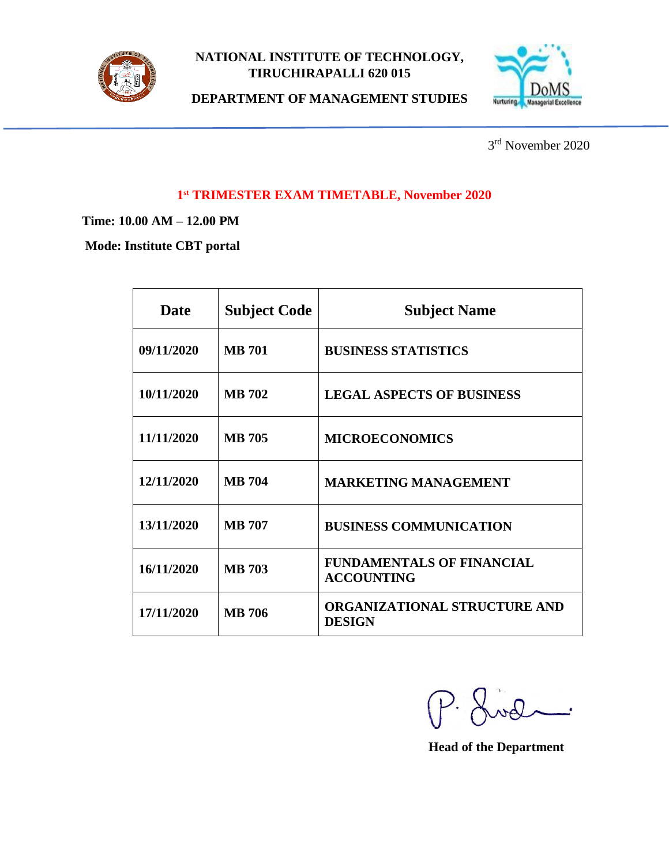

## **NATIONAL INSTITUTE OF TECHNOLOGY, TIRUCHIRAPALLI 620 015**



**DEPARTMENT OF MANAGEMENT STUDIES**

3 rd November 2020

### **1 st TRIMESTER EXAM TIMETABLE, November 2020**

**Time: 10.00 AM – 12.00 PM**

**Mode: Institute CBT portal**

| <b>Date</b> | <b>Subject Code</b> | <b>Subject Name</b>                                   |
|-------------|---------------------|-------------------------------------------------------|
| 09/11/2020  | <b>MB</b> 701       | <b>BUSINESS STATISTICS</b>                            |
| 10/11/2020  | <b>MB</b> 702       | <b>LEGAL ASPECTS OF BUSINESS</b>                      |
| 11/11/2020  | <b>MB</b> 705       | <b>MICROECONOMICS</b>                                 |
| 12/11/2020  | <b>MB</b> 704       | <b>MARKETING MANAGEMENT</b>                           |
| 13/11/2020  | <b>MB 707</b>       | <b>BUSINESS COMMUNICATION</b>                         |
| 16/11/2020  | <b>MB</b> 703       | <b>FUNDAMENTALS OF FINANCIAL</b><br><b>ACCOUNTING</b> |
| 17/11/2020  | <b>MB</b> 706       | <b>ORGANIZATIONAL STRUCTURE AND</b><br><b>DESIGN</b>  |

P. Lud  $\overline{\phantom{a}}$ 

 **Head of the Department**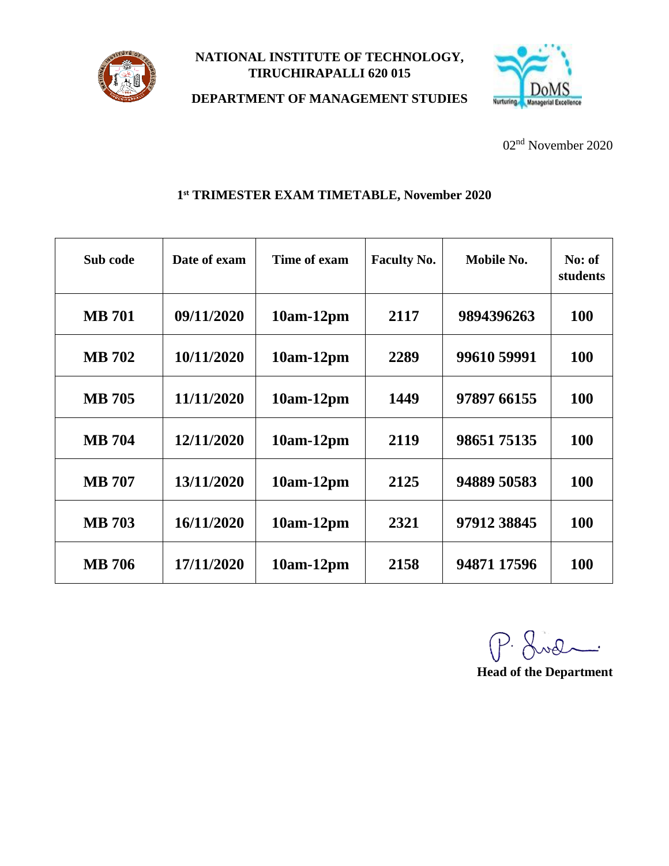

## **NATIONAL INSTITUTE OF TECHNOLOGY, TIRUCHIRAPALLI 620 015**



**DEPARTMENT OF MANAGEMENT STUDIES**

02 nd November 2020

# **1 st TRIMESTER EXAM TIMETABLE, November 2020**

| Sub code      | Date of exam | Time of exam | <b>Faculty No.</b> | Mobile No.  | No: of<br>students |
|---------------|--------------|--------------|--------------------|-------------|--------------------|
| <b>MB</b> 701 | 09/11/2020   | $10am-12pm$  | 2117               | 9894396263  | <b>100</b>         |
| <b>MB</b> 702 | 10/11/2020   | 10am-12pm    | 2289               | 99610 59991 | <b>100</b>         |
| <b>MB</b> 705 | 11/11/2020   | $10am-12pm$  | 1449               | 97897 66155 | <b>100</b>         |
| <b>MB</b> 704 | 12/11/2020   | $10am-12pm$  | 2119               | 9865175135  | 100                |
| <b>MB</b> 707 | 13/11/2020   | $10am-12pm$  | 2125               | 94889 50583 | <b>100</b>         |
| <b>MB</b> 703 | 16/11/2020   | $10am-12pm$  | 2321               | 97912 38845 | <b>100</b>         |
| <b>MB</b> 706 | 17/11/2020   | $10am-12pm$  | 2158               | 94871 17596 | 100                |

P. Lod

**Head of the Department**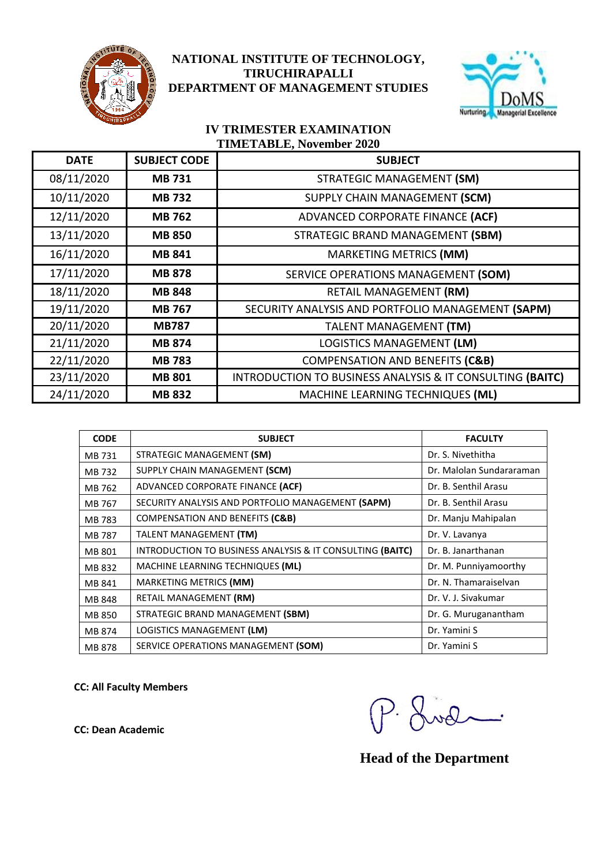

## **NATIONAL INSTITUTE OF TECHNOLOGY, NATIONAL INSTITUTE OF TECHNOLOGY, TIRUCHIRAPALLI TIRUCHIRAPALLI DEPARTMENT OF MANAGEMENT STUDIES DEPARTMENT OF MANAGEMENT STUDIES**



### **IV TRIMESTER EXAMINATION TIMETABLE, November 2020**

| <b>DATE</b> | <b>SUBJECT CODE</b> | <b>SUBJECT</b>                                            |
|-------------|---------------------|-----------------------------------------------------------|
| 08/11/2020  | <b>MB731</b>        | STRATEGIC MANAGEMENT (SM)                                 |
| 10/11/2020  | <b>MB 732</b>       | SUPPLY CHAIN MANAGEMENT (SCM)                             |
| 12/11/2020  | <b>MB 762</b>       | ADVANCED CORPORATE FINANCE (ACF)                          |
| 13/11/2020  | <b>MB 850</b>       | STRATEGIC BRAND MANAGEMENT (SBM)                          |
| 16/11/2020  | <b>MB 841</b>       | MARKETING METRICS (MM)                                    |
| 17/11/2020  | <b>MB 878</b>       | SERVICE OPERATIONS MANAGEMENT (SOM)                       |
| 18/11/2020  | <b>MB 848</b>       | RETAIL MANAGEMENT (RM)                                    |
| 19/11/2020  | <b>MB 767</b>       | SECURITY ANALYSIS AND PORTFOLIO MANAGEMENT (SAPM)         |
| 20/11/2020  | <b>MB787</b>        | <b>TALENT MANAGEMENT (TM)</b>                             |
| 21/11/2020  | <b>MB 874</b>       | LOGISTICS MANAGEMENT (LM)                                 |
| 22/11/2020  | <b>MB 783</b>       | <b>COMPENSATION AND BENEFITS (C&amp;B)</b>                |
| 23/11/2020  | <b>MB 801</b>       | INTRODUCTION TO BUSINESS ANALYSIS & IT CONSULTING (BAITC) |
| 24/11/2020  | <b>MB 832</b>       | MACHINE LEARNING TECHNIQUES (ML)                          |

| <b>CODE</b> | <b>SUBJECT</b>                                                       | <b>FACULTY</b>           |
|-------------|----------------------------------------------------------------------|--------------------------|
| MB 731      | STRATEGIC MANAGEMENT (SM)                                            | Dr. S. Nivethitha        |
| MB 732      | SUPPLY CHAIN MANAGEMENT (SCM)                                        | Dr. Malolan Sundararaman |
| MB 762      | ADVANCED CORPORATE FINANCE (ACF)                                     | Dr. B. Senthil Arasu     |
| MB 767      | SECURITY ANALYSIS AND PORTFOLIO MANAGEMENT (SAPM)                    | Dr. B. Senthil Arasu     |
| MB 783      | <b>COMPENSATION AND BENEFITS (C&amp;B)</b>                           | Dr. Manju Mahipalan      |
| MB 787      | TALENT MANAGEMENT (TM)                                               | Dr. V. Lavanya           |
| MB 801      | <b>INTRODUCTION TO BUSINESS ANALYSIS &amp; IT CONSULTING (BAITC)</b> | Dr. B. Janarthanan       |
| MB 832      | MACHINE LEARNING TECHNIQUES (ML)                                     | Dr. M. Punniyamoorthy    |
| MB 841      | MARKETING METRICS (MM)                                               | Dr. N. Thamaraiselvan    |
| MB 848      | RETAIL MANAGEMENT (RM)                                               | Dr. V. J. Sivakumar      |
| MB 850      | STRATEGIC BRAND MANAGEMENT (SBM)                                     | Dr. G. Muruganantham     |
| MB 874      | LOGISTICS MANAGEMENT (LM)                                            | Dr. Yamini S             |
| MB 878      | SERVICE OPERATIONS MANAGEMENT (SOM)                                  | Dr. Yamini S             |

CC: All Faculty Members<br>
CC: Dean Academic<br>
CC: Dean Academic  $\overline{\phantom{iiiiiiii}}$ 

 **Head of the Department**

**CC: Dean Academic**